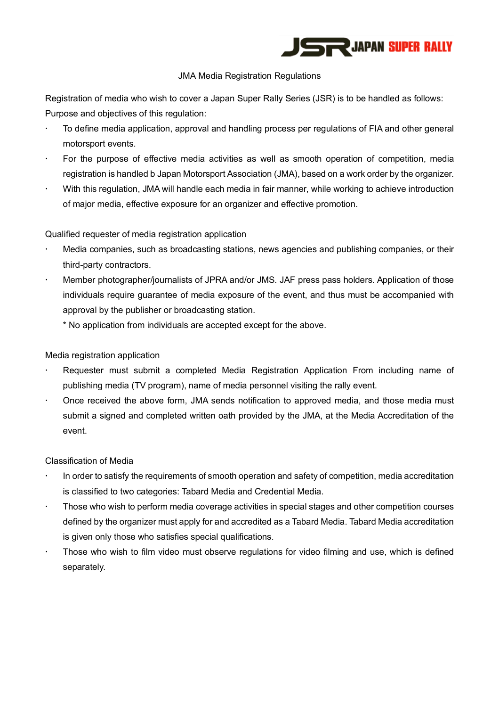

## JMA Media Registration Regulations

Registration of media who wish to cover a Japan Super Rally Series (JSR) is to be handled as follows: Purpose and objectives of this regulation:

- To define media application, approval and handling process per regulations of FIA and other general motorsport events.
- For the purpose of effective media activities as well as smooth operation of competition, media registration is handled b Japan Motorsport Association (JMA), based on a work order by the organizer.
- With this regulation, JMA will handle each media in fair manner, while working to achieve introduction of major media, effective exposure for an organizer and effective promotion.

Qualified requester of media registration application

- Media companies, such as broadcasting stations, news agencies and publishing companies, or their third-party contractors.
- Member photographer/journalists of JPRA and/or JMS. JAF press pass holders. Application of those individuals require guarantee of media exposure of the event, and thus must be accompanied with approval by the publisher or broadcasting station.

\* No application from individuals are accepted except for the above.

Media registration application

- Requester must submit a completed Media Registration Application From including name of publishing media (TV program), name of media personnel visiting the rally event.
- Once received the above form, JMA sends notification to approved media, and those media must submit a signed and completed written oath provided by the JMA, at the Media Accreditation of the event.

Classification of Media

- In order to satisfy the requirements of smooth operation and safety of competition, media accreditation is classified to two categories: Tabard Media and Credential Media.
- Those who wish to perform media coverage activities in special stages and other competition courses defined by the organizer must apply for and accredited as a Tabard Media. Tabard Media accreditation is given only those who satisfies special qualifications.
- Those who wish to film video must observe regulations for video filming and use, which is defined separately.